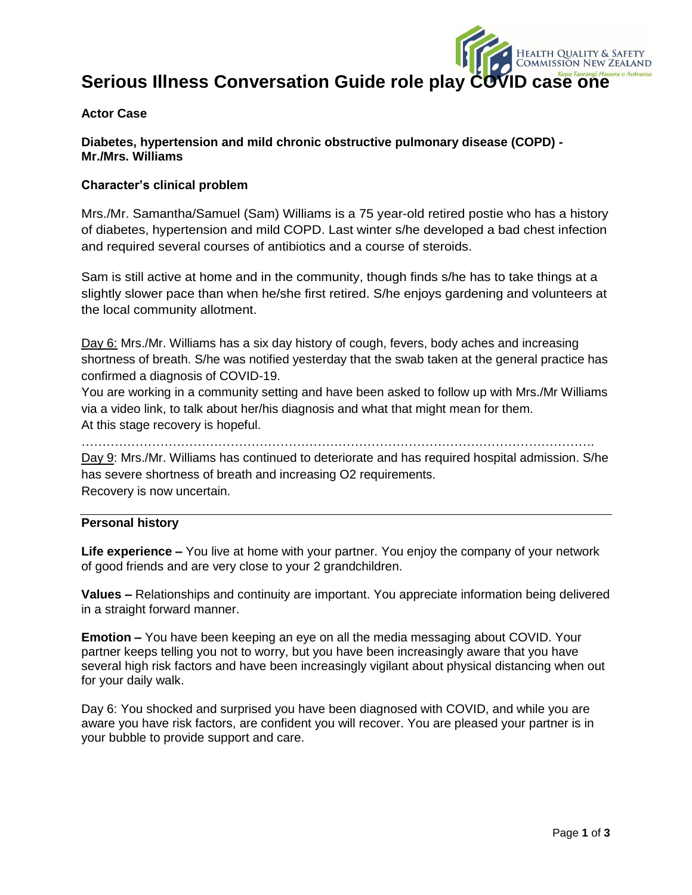# **Serious Illness Conversation Guide role play COVID case one**

### **Actor Case**

**Diabetes, hypertension and mild chronic obstructive pulmonary disease (COPD) - Mr./Mrs. Williams**

## **Character's clinical problem**

Mrs./Mr. Samantha/Samuel (Sam) Williams is a 75 year-old retired postie who has a history of diabetes, hypertension and mild COPD. Last winter s/he developed a bad chest infection and required several courses of antibiotics and a course of steroids.

Sam is still active at home and in the community, though finds s/he has to take things at a slightly slower pace than when he/she first retired. S/he enjoys gardening and volunteers at the local community allotment.

Day 6: Mrs./Mr. Williams has a six day history of cough, fevers, body aches and increasing shortness of breath. S/he was notified yesterday that the swab taken at the general practice has confirmed a diagnosis of COVID-19.

You are working in a community setting and have been asked to follow up with Mrs./Mr Williams via a video link, to talk about her/his diagnosis and what that might mean for them. At this stage recovery is hopeful.

…………………………………………………………………………………………………………….

Day 9: Mrs./Mr. Williams has continued to deteriorate and has required hospital admission. S/he has severe shortness of breath and increasing O2 requirements. Recovery is now uncertain.

#### **Personal history**

**Life experience –** You live at home with your partner. You enjoy the company of your network of good friends and are very close to your 2 grandchildren.

**Values –** Relationships and continuity are important. You appreciate information being delivered in a straight forward manner.

**Emotion –** You have been keeping an eye on all the media messaging about COVID. Your partner keeps telling you not to worry, but you have been increasingly aware that you have several high risk factors and have been increasingly vigilant about physical distancing when out for your daily walk.

Day 6: You shocked and surprised you have been diagnosed with COVID, and while you are aware you have risk factors, are confident you will recover. You are pleased your partner is in your bubble to provide support and care.

HEALTH QUALITY & SAFETY **COMMISSION NEW ZEALAND**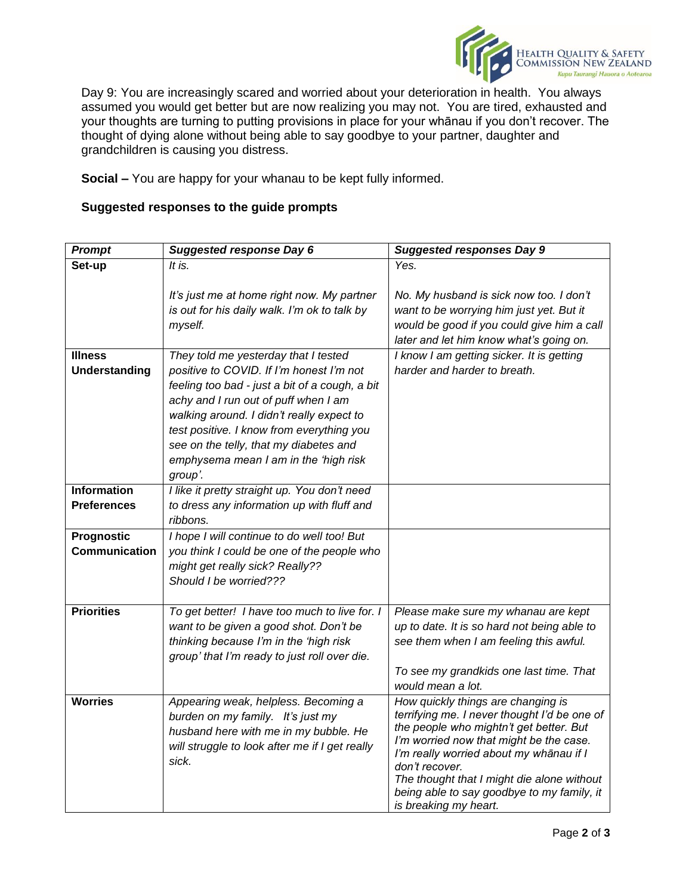

Day 9: You are increasingly scared and worried about your deterioration in health. You always assumed you would get better but are now realizing you may not. You are tired, exhausted and your thoughts are turning to putting provisions in place for your whānau if you don't recover. The thought of dying alone without being able to say goodbye to your partner, daughter and grandchildren is causing you distress.

**Social –** You are happy for your whanau to be kept fully informed.

# **Suggested responses to the guide prompts**

| <b>Prompt</b>                      | <b>Suggested response Day 6</b>                                                                                                                                                                                                                                                                                            | <b>Suggested responses Day 9</b>                                                                                                                                                                                                                                                                                                                           |
|------------------------------------|----------------------------------------------------------------------------------------------------------------------------------------------------------------------------------------------------------------------------------------------------------------------------------------------------------------------------|------------------------------------------------------------------------------------------------------------------------------------------------------------------------------------------------------------------------------------------------------------------------------------------------------------------------------------------------------------|
| Set-up                             | It is.                                                                                                                                                                                                                                                                                                                     | Yes.                                                                                                                                                                                                                                                                                                                                                       |
|                                    | It's just me at home right now. My partner<br>is out for his daily walk. I'm ok to talk by<br>myself.                                                                                                                                                                                                                      | No. My husband is sick now too. I don't<br>want to be worrying him just yet. But it<br>would be good if you could give him a call<br>later and let him know what's going on.                                                                                                                                                                               |
| <b>Illness</b>                     | They told me yesterday that I tested                                                                                                                                                                                                                                                                                       | I know I am getting sicker. It is getting                                                                                                                                                                                                                                                                                                                  |
| <b>Understanding</b>               | positive to COVID. If I'm honest I'm not<br>feeling too bad - just a bit of a cough, a bit<br>achy and I run out of puff when I am<br>walking around. I didn't really expect to<br>test positive. I know from everything you<br>see on the telly, that my diabetes and<br>emphysema mean I am in the 'high risk<br>group'. | harder and harder to breath.                                                                                                                                                                                                                                                                                                                               |
| <b>Information</b>                 | I like it pretty straight up. You don't need                                                                                                                                                                                                                                                                               |                                                                                                                                                                                                                                                                                                                                                            |
| <b>Preferences</b>                 | to dress any information up with fluff and                                                                                                                                                                                                                                                                                 |                                                                                                                                                                                                                                                                                                                                                            |
|                                    | ribbons.                                                                                                                                                                                                                                                                                                                   |                                                                                                                                                                                                                                                                                                                                                            |
| Prognostic<br><b>Communication</b> | I hope I will continue to do well too! But<br>you think I could be one of the people who                                                                                                                                                                                                                                   |                                                                                                                                                                                                                                                                                                                                                            |
|                                    | might get really sick? Really??<br>Should I be worried???                                                                                                                                                                                                                                                                  |                                                                                                                                                                                                                                                                                                                                                            |
|                                    |                                                                                                                                                                                                                                                                                                                            |                                                                                                                                                                                                                                                                                                                                                            |
| <b>Priorities</b>                  | To get better! I have too much to live for. I<br>want to be given a good shot. Don't be<br>thinking because I'm in the 'high risk<br>group' that I'm ready to just roll over die.                                                                                                                                          | Please make sure my whanau are kept<br>up to date. It is so hard not being able to<br>see them when I am feeling this awful.<br>To see my grandkids one last time. That<br>would mean a lot.                                                                                                                                                               |
| <b>Worries</b>                     | Appearing weak, helpless. Becoming a<br>burden on my family. It's just my<br>husband here with me in my bubble. He<br>will struggle to look after me if I get really<br>sick.                                                                                                                                              | How quickly things are changing is<br>terrifying me. I never thought I'd be one of<br>the people who mightn't get better. But<br>I'm worried now that might be the case.<br>I'm really worried about my whānau if I<br>don't recover.<br>The thought that I might die alone without<br>being able to say goodbye to my family, it<br>is breaking my heart. |